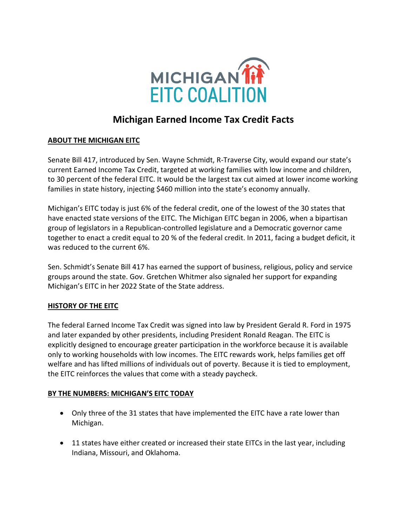

# **Michigan Earned Income Tax Credit Facts**

## **ABOUT THE MICHIGAN EITC**

Senate Bill 417, introduced by Sen. Wayne Schmidt, R-Traverse City, would expand our state's current Earned Income Tax Credit, targeted at working families with low income and children, to 30 percent of the federal EITC. It would be the largest tax cut aimed at lower income working families in state history, injecting \$460 million into the state's economy annually.

Michigan's EITC today is just 6% of the federal credit, one of the lowest of the 30 states that have enacted state versions of the EITC. The Michigan EITC began in 2006, when a bipartisan group of legislators in a Republican-controlled legislature and a Democratic governor came together to enact a credit equal to 20 % of the federal credit. In 2011, facing a budget deficit, it was reduced to the current 6%.

Sen. Schmidt's Senate Bill 417 has earned the support of business, religious, policy and service groups around the state. Gov. Gretchen Whitmer also signaled her support for expanding Michigan's EITC in her 2022 State of the State address.

### **HISTORY OF THE EITC**

The federal Earned Income Tax Credit was signed into law by President Gerald R. Ford in 1975 and later expanded by other presidents, including President Ronald Reagan. The EITC is explicitly designed to encourage greater participation in the workforce because it is available only to working households with low incomes. The EITC rewards work, helps families get off welfare and has lifted millions of individuals out of poverty. Because it is tied to employment, the EITC reinforces the values that come with a steady paycheck.

### **BY THE NUMBERS: MICHIGAN'S EITC TODAY**

- Only three of the 31 states that have implemented the EITC have a rate lower than Michigan.
- 11 states have either created or increased their state EITCs in the last year, including Indiana, Missouri, and Oklahoma.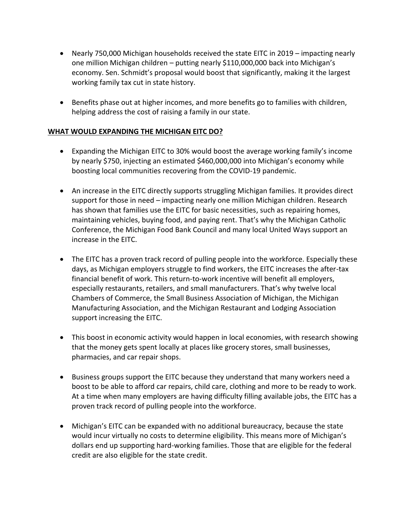- Nearly 750,000 Michigan households received the state EITC in 2019 impacting nearly one million Michigan children – putting nearly \$110,000,000 back into Michigan's economy. Sen. Schmidt's proposal would boost that significantly, making it the largest working family tax cut in state history.
- Benefits phase out at higher incomes, and more benefits go to families with children, helping address the cost of raising a family in our state.

#### **WHAT WOULD EXPANDING THE MICHIGAN EITC DO?**

- Expanding the Michigan EITC to 30% would boost the average working family's income by nearly \$750, injecting an estimated \$460,000,000 into Michigan's economy while boosting local communities recovering from the COVID-19 pandemic.
- An increase in the EITC directly supports struggling Michigan families. It provides direct support for those in need – impacting nearly one million Michigan children. Research has shown that families use the EITC for basic necessities, such as repairing homes, maintaining vehicles, buying food, and paying rent. That's why the Michigan Catholic Conference, the Michigan Food Bank Council and many local United Ways support an increase in the EITC.
- The EITC has a proven track record of pulling people into the workforce. Especially these days, as Michigan employers struggle to find workers, the EITC increases the after-tax financial benefit of work. This return-to-work incentive will benefit all employers, especially restaurants, retailers, and small manufacturers. That's why twelve local Chambers of Commerce, the Small Business Association of Michigan, the Michigan Manufacturing Association, and the Michigan Restaurant and Lodging Association support increasing the EITC.
- This boost in economic activity would happen in local economies, with research showing that the money gets spent locally at places like grocery stores, small businesses, pharmacies, and car repair shops.
- Business groups support the EITC because they understand that many workers need a boost to be able to afford car repairs, child care, clothing and more to be ready to work. At a time when many employers are having difficulty filling available jobs, the EITC has a proven track record of pulling people into the workforce.
- Michigan's EITC can be expanded with no additional bureaucracy, because the state would incur virtually no costs to determine eligibility. This means more of Michigan's dollars end up supporting hard-working families. Those that are eligible for the federal credit are also eligible for the state credit.